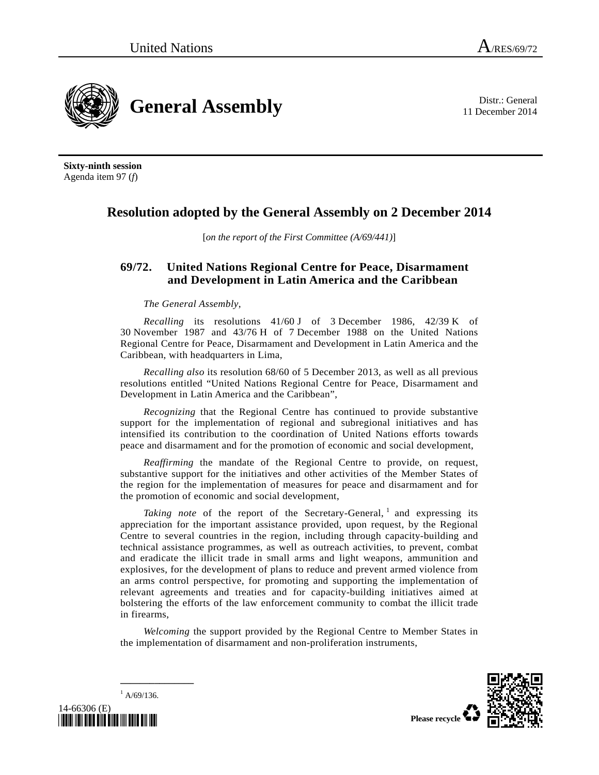11 December 2014



**Sixty-ninth session**  Agenda item 97 (*f*)

## **Resolution adopted by the General Assembly on 2 December 2014**

[*on the report of the First Committee (A/69/441)*]

## **69/72. United Nations Regional Centre for Peace, Disarmament and Development in Latin America and the Caribbean**

## *The General Assembly*,

*Recalling* its resolutions 41/60 J of 3 December 1986, 42/39 K of 30 November 1987 and 43/76 H of 7 December 1988 on the United Nations Regional Centre for Peace, Disarmament and Development in Latin America and the Caribbean, with headquarters in Lima,

*Recalling also* its resolution 68/60 of 5 December 2013, as well as all previous resolutions entitled "United Nations Regional Centre for Peace, Disarmament and Development in Latin America and the Caribbean",

*Recognizing* that the Regional Centre has continued to provide substantive support for the implementation of regional and subregional initiatives and has intensified its contribution to the coordination of United Nations efforts towards peace and disarmament and for the promotion of economic and social development,

*Reaffirming* the mandate of the Regional Centre to provide, on request, substantive support for the initiatives and other activities of the Member States of the region for the implementation of measures for peace and disarmament and for the promotion of economic and social development,

*Taking note* of the report of the Secretary-General,  $\frac{1}{1}$  and expressing its appreciation for the important assistance provided, upon request, by the Regional Centre to several countries in the region, including through capacity-building and technical assistance programmes, as well as outreach activities, to prevent, combat and eradicate the illicit trade in small arms and light weapons, ammunition and explosives, for the development of plans to reduce and prevent armed violence from an arms control perspective, for promoting and supporting the implementation of relevant agreements and treaties and for capacity-building initiatives aimed at bolstering the efforts of the law enforcement community to combat the illicit trade in firearms,

*Welcoming* the support provided by the Regional Centre to Member States in the implementation of disarmament and non-proliferation instruments,



 $^{1}$  A/69/136.

**\_\_\_\_\_\_\_\_\_\_\_\_\_\_\_** 

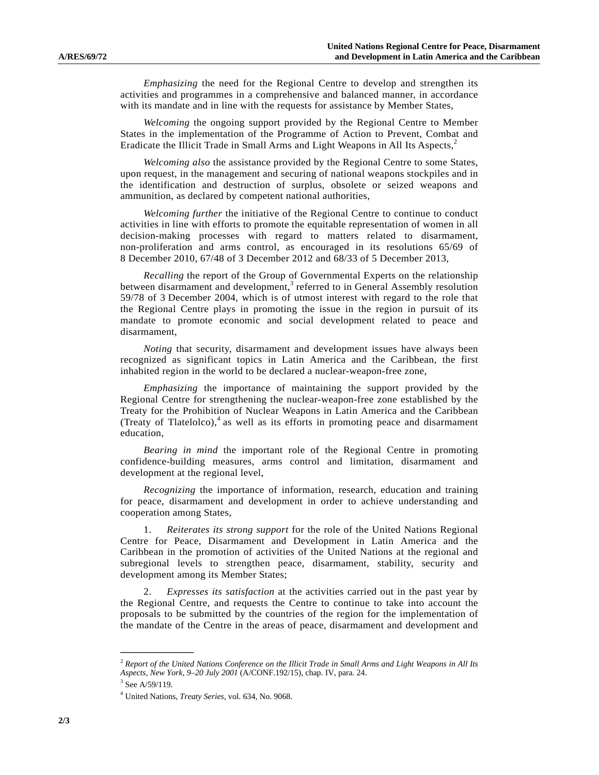*Emphasizing* the need for the Regional Centre to develop and strengthen its activities and programmes in a comprehensive and balanced manner, in accordance with its mandate and in line with the requests for assistance by Member States,

*Welcoming* the ongoing support provided by the Regional Centre to Member States in the implementation of the Programme of Action to Prevent, Combat and Eradicate the Illicit Trade in Small Arms and Light Weapons in All Its Aspects,<sup>2</sup>

*Welcoming also* the assistance provided by the Regional Centre to some States, upon request, in the management and securing of national weapons stockpiles and in the identification and destruction of surplus, obsolete or seized weapons and ammunition, as declared by competent national authorities,

*Welcoming further* the initiative of the Regional Centre to continue to conduct activities in line with efforts to promote the equitable representation of women in all decision-making processes with regard to matters related to disarmament, non-proliferation and arms control, as encouraged in its resolutions 65/69 of 8 December 2010, 67/48 of 3 December 2012 and 68/33 of 5 December 2013,

*Recalling* the report of the Group of Governmental Experts on the relationship between disarmament and development,<sup>3</sup> referred to in General Assembly resolution 59/78 of 3 December 2004, which is of utmost interest with regard to the role that the Regional Centre plays in promoting the issue in the region in pursuit of its mandate to promote economic and social development related to peace and disarmament,

*Noting* that security, disarmament and development issues have always been recognized as significant topics in Latin America and the Caribbean, the first inhabited region in the world to be declared a nuclear-weapon-free zone,

*Emphasizing* the importance of maintaining the support provided by the Regional Centre for strengthening the nuclear-weapon-free zone established by the Treaty for the Prohibition of Nuclear Weapons in Latin America and the Caribbean (Treaty of Tlatelolco), $4$  as well as its efforts in promoting peace and disarmament education,

*Bearing in mind* the important role of the Regional Centre in promoting confidence-building measures, arms control and limitation, disarmament and development at the regional level,

*Recognizing* the importance of information, research, education and training for peace, disarmament and development in order to achieve understanding and cooperation among States,

 1. *Reiterates its strong support* for the role of the United Nations Regional Centre for Peace, Disarmament and Development in Latin America and the Caribbean in the promotion of activities of the United Nations at the regional and subregional levels to strengthen peace, disarmament, stability, security and development among its Member States;

 2. *Expresses its satisfaction* at the activities carried out in the past year by the Regional Centre, and requests the Centre to continue to take into account the proposals to be submitted by the countries of the region for the implementation of the mandate of the Centre in the areas of peace, disarmament and development and

**\_\_\_\_\_\_\_\_\_\_\_\_\_\_\_** 

<sup>2</sup>  *Report of the United Nations Conference on the Illicit Trade in Small Arms and Light Weapons in All Its Aspects, New York, 9–20 July 2001* (A/CONF.192/15), chap. IV, para. 24. 3

 $3$  See A/59/119.

<sup>4</sup> United Nations, *Treaty Series*, vol. 634, No. 9068.